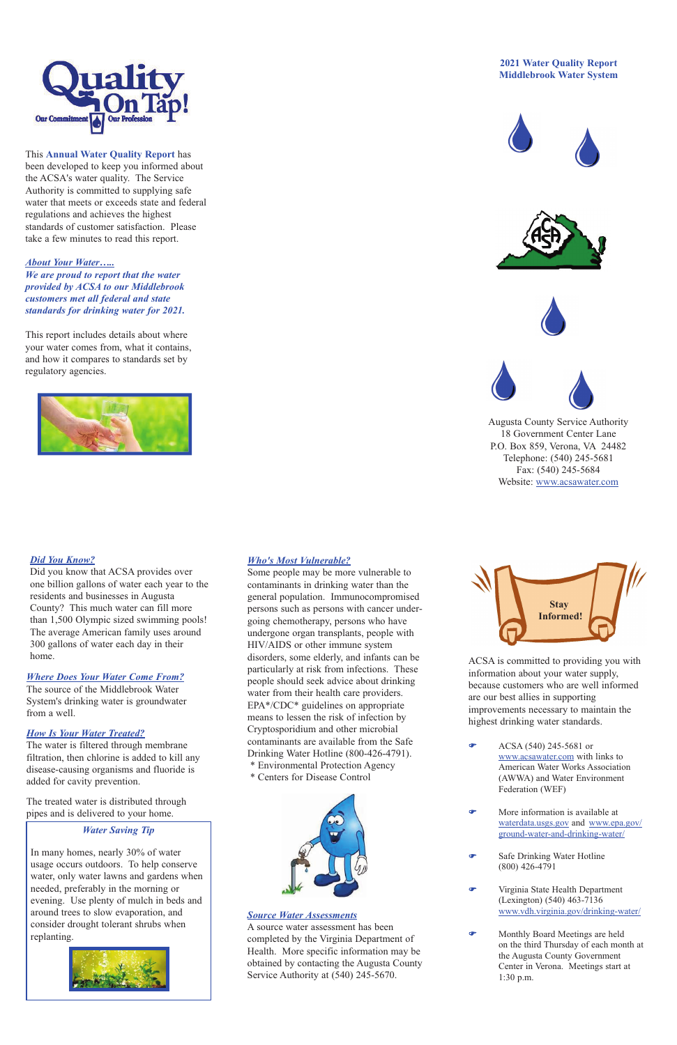

This **Annual Water Quality Report** has been developed to keep you informed about the ACSA's water quality. The Service Authority is committed to supplying safe water that meets or exceeds state and federal regulations and achieves the highest standards of customer satisfaction. Please take a few minutes to read this report.

## *About Your Water…..*

*We are proud to report that the water provided by ACSA to our Middlebrook customers met all federal and state standards for drinking water for 2021.* 

This report includes details about where your water comes from, what it contains, and how it compares to standards set by regulatory agencies.



# *Where Does Your Water Come From?*

The source of the Middlebrook Water System's drinking water is groundwater from a well.

## *How Is Your Water Treated?*

The water is filtered through membrane filtration, then chlorine is added to kill any disease-causing organisms and fluoride is added for cavity prevention.

The treated water is distributed through pipes and is delivered to your home.

# *Who's Most Vulnerable?*

- More information is available at waterdata.usgs.gov and www.epa.gov/ ground-water-and-drinking-water/
- **F** Safe Drinking Water Hotline (800) 426-4791
- Virginia State Health Department (Lexington) (540) 463-7136 www.vdh.virginia.gov/drinking-water/
- **F** Monthly Board Meetings are held on the third Thursday of each month at the Augusta County Government Center in Verona. Meetings start at 1:30 p.m.

Some people may be more vulnerable to contaminants in drinking water than the general population. Immunocompromised persons such as persons with cancer undergoing chemotherapy, persons who have undergone organ transplants, people with HIV/AIDS or other immune system disorders, some elderly, and infants can be particularly at risk from infections. These people should seek advice about drinking water from their health care providers. EPA\*/CDC\* guidelines on appropriate means to lessen the risk of infection by Cryptosporidium and other microbial contaminants are available from the Safe Drinking Water Hotline (800-426-4791). \* Environmental Protection Agency \* Centers for Disease Control

ACSA is committed to providing you with information about your water supply, because customers who are well informed are our best allies in supporting improvements necessary to maintain the highest drinking water standards.

F ACSA (540) 245-5681 or www.acsawater.com with links to American Water Works Association

(AWWA) and Water Environment Federation (WEF)

## **2021 Water Quality Report Middlebrook Water System**









Augusta County Service Authority 18 Government Center Lane P.O. Box 859, Verona, VA 24482 Telephone: (540) 245-5681 Fax: (540) 245-5684 Website: www.acsawater.com



## *Source Water Assessments*

A source water assessment has been completed by the Virginia Department of Health. More specific information may be obtained by contacting the Augusta County Service Authority at (540) 245-5670.

## *Water Saving Tip*

In many homes, nearly 30% of water usage occurs outdoors. To help conserve water, only water lawns and gardens when needed, preferably in the morning or evening. Use plenty of mulch in beds and around trees to slow evaporation, and consider drought tolerant shrubs when replanting.





# *Did You Know?*

Did you know that ACSA provides over one billion gallons of water each year to the residents and businesses in Augusta County? This much water can fill more than 1,500 Olympic sized swimming pools! The average American family uses around 300 gallons of water each day in their home.